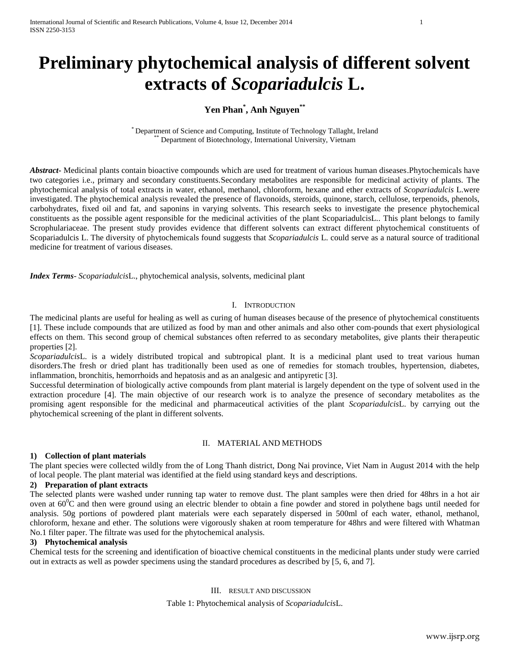# **Preliminary phytochemical analysis of different solvent extracts of** *Scopariadulcis* **L.**

# **Yen Phan\* , Anh Nguyen\*\***

\* Department of Science and Computing, Institute of Technology Tallaght, Ireland Department of Biotechnology, International University, Vietnam

*Abstract***-** Medicinal plants contain bioactive compounds which are used for treatment of various human diseases.Phytochemicals have two categories i.e., primary and secondary constituents.Secondary metabolites are responsible for medicinal activity of plants. The phytochemical analysis of total extracts in water, ethanol, methanol, chloroform, hexane and ether extracts of *Scopariadulcis* L.were investigated. The phytochemical analysis revealed the presence of flavonoids, steroids, quinone, starch, cellulose, terpenoids, phenols, carbohydrates, fixed oil and fat, and saponins in varying solvents. This research seeks to investigate the presence phytochemical constituents as the possible agent responsible for the medicinal activities of the plant ScopariadulcisL.. This plant belongs to family Scrophulariaceae. The present study provides evidence that different solvents can extract different phytochemical constituents of Scopariadulcis L. The diversity of phytochemicals found suggests that *Scopariadulcis* L. could serve as a natural source of traditional medicine for treatment of various diseases.

*Index Terms*- *Scopariadulcis*L., phytochemical analysis, solvents, medicinal plant

#### I. INTRODUCTION

The medicinal plants are useful for healing as well as curing of human diseases because of the presence of phytochemical constituents [1]. These include compounds that are utilized as food by man and other animals and also other com-pounds that exert physiological effects on them. This second group of chemical substances often referred to as secondary metabolites, give plants their therapeutic properties [2].

*Scopariadulcis*L. is a widely distributed tropical and subtropical plant. It is a medicinal plant used to treat various human disorders.The fresh or dried plant has traditionally been used as one of remedies for stomach troubles, hypertension, diabetes, inflammation, bronchitis, hemorrhoids and hepatosis and as an analgesic and antipyretic [3].

Successful determination of biologically active compounds from plant material is largely dependent on the type of solvent used in the extraction procedure [4]. The main objective of our research work is to analyze the presence of secondary metabolites as the promising agent responsible for the medicinal and pharmaceutical activities of the plant *Scopariadulcis*L. by carrying out the phytochemical screening of the plant in different solvents.

## II. MATERIAL AND METHODS

## **1) Collection of plant materials**

The plant species were collected wildly from the of Long Thanh district, Dong Nai province, Viet Nam in August 2014 with the help of local people. The plant material was identified at the field using standard keys and descriptions.

#### **2) Preparation of plant extracts**

The selected plants were washed under running tap water to remove dust. The plant samples were then dried for 48hrs in a hot air oven at  $60^{\circ}$ C and then were ground using an electric blender to obtain a fine powder and stored in polythene bags until needed for analysis. 50g portions of powdered plant materials were each separately dispersed in 500ml of each water, ethanol, methanol, chloroform, hexane and ether. The solutions were vigorously shaken at room temperature for 48hrs and were filtered with Whatman No.1 filter paper. The filtrate was used for the phytochemical analysis.

#### **3) Phytochemical analysis**

Chemical tests for the screening and identification of bioactive chemical constituents in the medicinal plants under study were carried out in extracts as well as powder specimens using the standard procedures as described by [5, 6, and 7].

#### III. RESULT AND DISCUSSION

Table 1: Phytochemical analysis of *Scopariadulcis*L.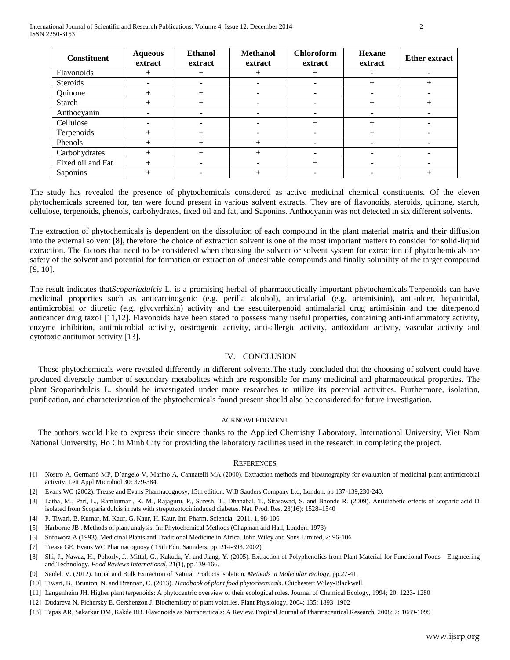| <b>Constituent</b> | <b>Aqueous</b><br>extract | <b>Ethanol</b><br>extract | <b>Methanol</b><br>extract | <b>Chloroform</b><br>extract | <b>Hexane</b><br>extract | <b>Ether extract</b> |
|--------------------|---------------------------|---------------------------|----------------------------|------------------------------|--------------------------|----------------------|
| Flavonoids         |                           |                           |                            | +                            |                          |                      |
| Steroids           |                           |                           | $\overline{\phantom{a}}$   |                              |                          |                      |
| Quinone            |                           |                           |                            |                              |                          |                      |
| Starch             | $^+$                      | $^{+}$                    |                            |                              | $^{+}$                   | $^+$                 |
| Anthocyanin        |                           |                           |                            |                              |                          |                      |
| Cellulose          |                           |                           |                            | $^+$                         |                          | -                    |
| Terpenoids         |                           |                           |                            |                              |                          |                      |
| Phenols            |                           |                           |                            |                              |                          |                      |
| Carbohydrates      |                           |                           |                            |                              |                          |                      |
| Fixed oil and Fat  |                           |                           |                            |                              |                          |                      |
| Saponins           |                           |                           |                            |                              |                          |                      |

The study has revealed the presence of phytochemicals considered as active medicinal chemical constituents. Of the eleven phytochemicals screened for, ten were found present in various solvent extracts. They are of flavonoids, steroids, quinone, starch, cellulose, terpenoids, phenols, carbohydrates, fixed oil and fat, and Saponins. Anthocyanin was not detected in six different solvents.

The extraction of phytochemicals is dependent on the dissolution of each compound in the plant material matrix and their diffusion into the external solvent [8], therefore the choice of extraction solvent is one of the most important matters to consider for solid-liquid extraction. The factors that need to be considered when choosing the solvent or solvent system for extraction of phytochemicals are safety of the solvent and potential for formation or extraction of undesirable compounds and finally solubility of the target compound [9, 10].

The result indicates that*Scopariadulcis* L. is a promising herbal of pharmaceutically important phytochemicals.Terpenoids can have medicinal properties such as anticarcinogenic (e.g. perilla alcohol), antimalarial (e.g. artemisinin), anti-ulcer, hepaticidal, antimicrobial or diuretic (e.g. glycyrrhizin) activity and the sesquiterpenoid antimalarial drug artimisinin and the diterpenoid anticancer drug taxol [11,12]. Flavonoids have been stated to possess many useful properties, containing anti-inflammatory activity, enzyme inhibition, antimicrobial activity, oestrogenic activity, anti-allergic activity, antioxidant activity, vascular activity and cytotoxic antitumor activity [13].

#### IV. CONCLUSION

Those phytochemicals were revealed differently in different solvents.The study concluded that the choosing of solvent could have produced diversely number of secondary metabolites which are responsible for many medicinal and pharmaceutical properties. The plant Scopariadulcis L. should be investigated under more researches to utilize its potential activities. Furthermore, isolation, purification, and characterization of the phytochemicals found present should also be considered for future investigation.

#### ACKNOWLEDGMENT

The authors would like to express their sincere thanks to the Applied Chemistry Laboratory, International University, Viet Nam National University, Ho Chi Minh City for providing the laboratory facilities used in the research in completing the project.

#### **REFERENCES**

- [1] Nostro A, Germanò MP, D'angelo V, Marino A, Cannatelli MA (2000). Extraction methods and bioautography for evaluation of medicinal plant antimicrobial activity. Lett Appl Microbiol 30: 379-384.
- [2] Evans WC (2002). Trease and Evans Pharmacognosy, 15th edition. W.B Sauders Company Ltd, London. pp 137-139,230-240.
- [3] Latha, M., Pari, L., Ramkumar , K. M., Rajaguru, P., Suresh, T., Dhanabal, T., Sitasawad, S. and Bhonde R. (2009). Antidiabetic effects of scoparic acid D isolated from Scoparia dulcis in rats with streptozotocininduced diabetes. Nat. Prod. Res. 23(16): 1528–1540
- [4] P. Tiwari, B. Kumar, M. Kaur, G. Kaur, H. Kaur, Int. Pharm. Sciencia, 2011, 1, 98-106
- [5] Harborne JB . Methods of plant analysis. In: Phytochemical Methods (Chapman and Hall, London. 1973)
- [6] Sofowora A (1993). Medicinal Plants and Traditional Medicine in Africa. John Wiley and Sons Limited, 2: 96-106
- [7] Trease GE, Evans WC Pharmacognosy ( 15th Edn. Saunders, pp. 214-393. 2002)
- [8] Shi, J., Nawaz, H., Pohorly, J., Mittal, G., Kakuda, Y. and Jiang, Y. (2005). Extraction of Polyphenolics from Plant Material for Functional Foods—Engineering and Technology. *Food Reviews International*, 21(1), pp.139-166.
- [9] Seidel, V. (2012). Initial and Bulk Extraction of Natural Products Isolation. *Methods in Molecular Biology*, pp.27-41.
- [10] Tiwari, B., Brunton, N. and Brennan, C. (2013). *Handbook of plant food phytochemicals*. Chichester: Wiley-Blackwell.
- [11] Langenheim JH. Higher plant terpenoids: A phytocentric overview of their ecological roles. Journal of Chemical Ecology, 1994; 20: 1223- 1280
- [12] Dudareva N, Pichersky E, Gershenzon J. Biochemistry of plant volatiles. Plant Physiology, 2004; 135: 1893–1902
- [13] Tapas AR, Sakarkar DM, Kakde RB. Flavonoids as Nutraceuticals: A Review.Tropical Journal of Pharmaceutical Research, 2008; 7: 1089-1099